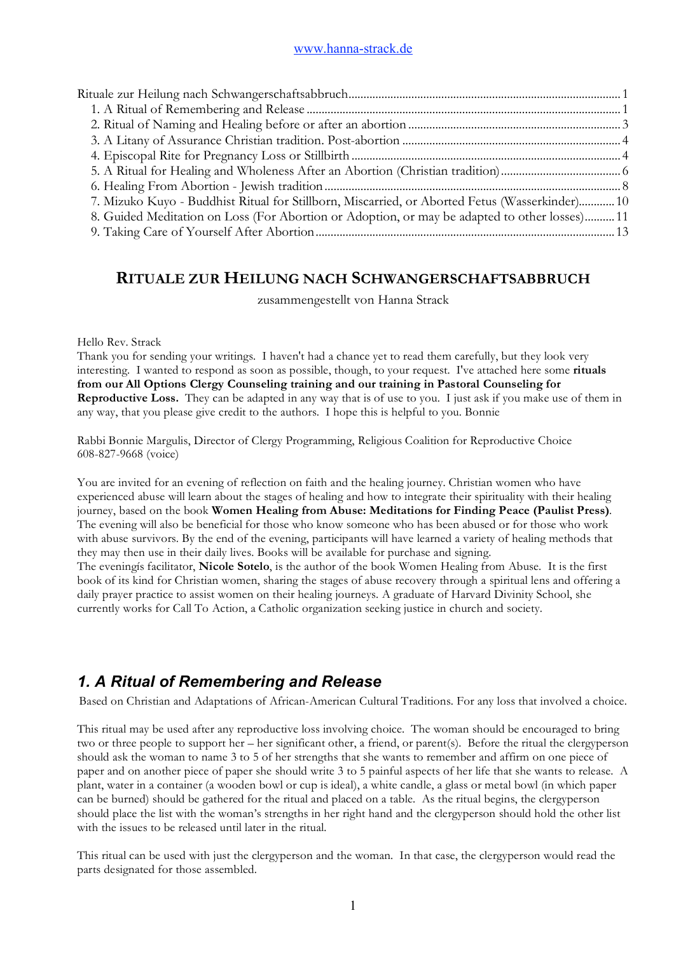| 7. Mizuko Kuyo - Buddhist Ritual for Stillborn, Miscarried, or Aborted Fetus (Wasserkinder) 10 |  |
|------------------------------------------------------------------------------------------------|--|
| 8. Guided Meditation on Loss (For Abortion or Adoption, or may be adapted to other losses) 11  |  |
|                                                                                                |  |

## **RITUALE ZUR HEILUNG NACH SCHWANGERSCHAFTSABBRUCH**

zusammengestellt von Hanna Strack

#### Hello Rev. Strack

Thank you for sending your writings. I haven't had a chance yet to read them carefully, but they look very interesting. I wanted to respond as soon as possible, though, to your request. I've attached here some **rituals from our All Options Clergy Counseling training and our training in Pastoral Counseling for Reproductive Loss.** They can be adapted in any way that is of use to you. I just ask if you make use of them in any way, that you please give credit to the authors. I hope this is helpful to you. Bonnie

Rabbi Bonnie Margulis, Director of Clergy Programming, Religious Coalition for Reproductive Choice 608-827-9668 (voice)

You are invited for an evening of reflection on faith and the healing journey. Christian women who have experienced abuse will learn about the stages of healing and how to integrate their spirituality with their healing journey, based on the book **Women Healing from Abuse: Meditations for Finding Peace (Paulist Press)**. The evening will also be beneficial for those who know someone who has been abused or for those who work with abuse survivors. By the end of the evening, participants will have learned a variety of healing methods that they may then use in their daily lives. Books will be available for purchase and signing. The eveningís facilitator, **Nicole Sotelo**, is the author of the book Women Healing from Abuse. It is the first book of its kind for Christian women, sharing the stages of abuse recovery through a spiritual lens and offering a daily prayer practice to assist women on their healing journeys. A graduate of Harvard Divinity School, she currently works for Call To Action, a Catholic organization seeking justice in church and society.

# *1. A Ritual of Remembering and Release*

Based on Christian and Adaptations of African-American Cultural Traditions. For any loss that involved a choice.

This ritual may be used after any reproductive loss involving choice. The woman should be encouraged to bring two or three people to support her – her significant other, a friend, or parent(s). Before the ritual the clergyperson should ask the woman to name 3 to 5 of her strengths that she wants to remember and affirm on one piece of paper and on another piece of paper she should write 3 to 5 painful aspects of her life that she wants to release. A plant, water in a container (a wooden bowl or cup is ideal), a white candle, a glass or metal bowl (in which paper can be burned) should be gathered for the ritual and placed on a table. As the ritual begins, the clergyperson should place the list with the woman's strengths in her right hand and the clergyperson should hold the other list with the issues to be released until later in the ritual.

This ritual can be used with just the clergyperson and the woman. In that case, the clergyperson would read the parts designated for those assembled.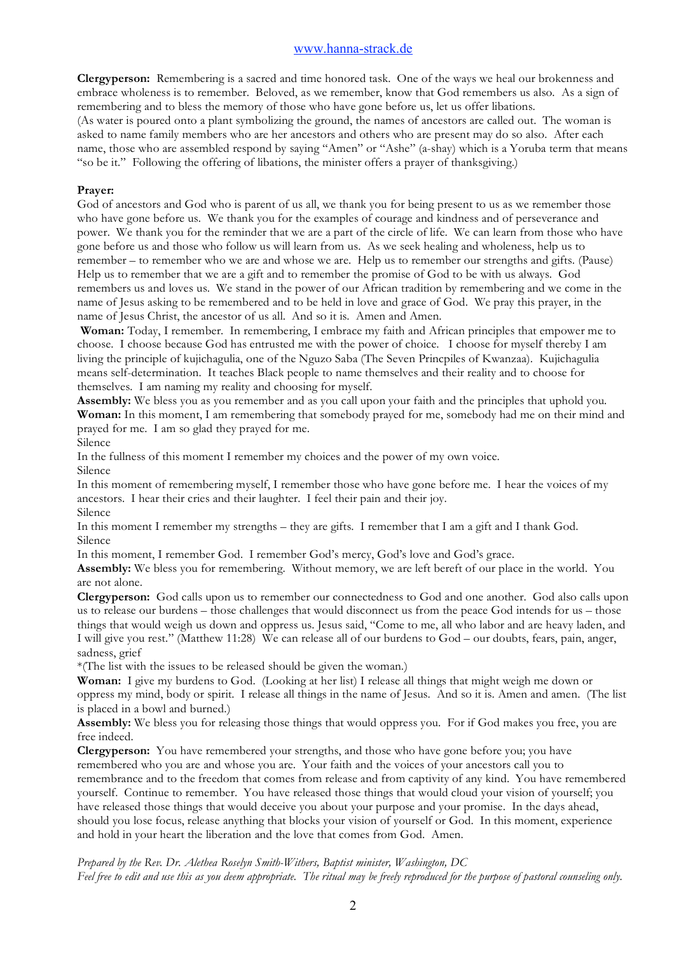**Clergyperson:** Remembering is a sacred and time honored task. One of the ways we heal our brokenness and embrace wholeness is to remember. Beloved, as we remember, know that God remembers us also. As a sign of remembering and to bless the memory of those who have gone before us, let us offer libations. (As water is poured onto a plant symbolizing the ground, the names of ancestors are called out. The woman is asked to name family members who are her ancestors and others who are present may do so also. After each name, those who are assembled respond by saying "Amen" or "Ashe" (a-shay) which is a Yoruba term that means "so be it." Following the offering of libations, the minister offers a prayer of thanksgiving.)

#### **Prayer:**

God of ancestors and God who is parent of us all, we thank you for being present to us as we remember those who have gone before us. We thank you for the examples of courage and kindness and of perseverance and power. We thank you for the reminder that we are a part of the circle of life. We can learn from those who have gone before us and those who follow us will learn from us. As we seek healing and wholeness, help us to remember – to remember who we are and whose we are. Help us to remember our strengths and gifts. (Pause) Help us to remember that we are a gift and to remember the promise of God to be with us always. God remembers us and loves us. We stand in the power of our African tradition by remembering and we come in the name of Jesus asking to be remembered and to be held in love and grace of God. We pray this prayer, in the name of Jesus Christ, the ancestor of us all. And so it is. Amen and Amen.

**Woman:** Today, I remember. In remembering, I embrace my faith and African principles that empower me to choose. I choose because God has entrusted me with the power of choice. I choose for myself thereby I am living the principle of kujichagulia, one of the Nguzo Saba (The Seven Princpiles of Kwanzaa). Kujichagulia means self-determination. It teaches Black people to name themselves and their reality and to choose for themselves. I am naming my reality and choosing for myself.

**Assembly:** We bless you as you remember and as you call upon your faith and the principles that uphold you. **Woman:** In this moment, I am remembering that somebody prayed for me, somebody had me on their mind and prayed for me. I am so glad they prayed for me.

Silence

In the fullness of this moment I remember my choices and the power of my own voice. Silence

In this moment of remembering myself, I remember those who have gone before me. I hear the voices of my ancestors. I hear their cries and their laughter. I feel their pain and their joy. Silence

In this moment I remember my strengths – they are gifts. I remember that I am a gift and I thank God. Silence

In this moment, I remember God. I remember God's mercy, God's love and God's grace.

**Assembly:** We bless you for remembering. Without memory, we are left bereft of our place in the world. You are not alone.

**Clergyperson:** God calls upon us to remember our connectedness to God and one another. God also calls upon us to release our burdens – those challenges that would disconnect us from the peace God intends for us – those things that would weigh us down and oppress us. Jesus said, "Come to me, all who labor and are heavy laden, and I will give you rest." (Matthew 11:28) We can release all of our burdens to God – our doubts, fears, pain, anger, sadness, grief

\*(The list with the issues to be released should be given the woman.)

**Woman:** I give my burdens to God. (Looking at her list) I release all things that might weigh me down or oppress my mind, body or spirit. I release all things in the name of Jesus. And so it is. Amen and amen. (The list is placed in a bowl and burned.)

**Assembly:** We bless you for releasing those things that would oppress you. For if God makes you free, you are free indeed.

**Clergyperson:** You have remembered your strengths, and those who have gone before you; you have remembered who you are and whose you are. Your faith and the voices of your ancestors call you to remembrance and to the freedom that comes from release and from captivity of any kind. You have remembered yourself. Continue to remember. You have released those things that would cloud your vision of yourself; you have released those things that would deceive you about your purpose and your promise. In the days ahead, should you lose focus, release anything that blocks your vision of yourself or God. In this moment, experience and hold in your heart the liberation and the love that comes from God. Amen.

*Prepared by the Rev. Dr. Alethea Roselyn Smith-Withers, Baptist minister, Washington, DC Feel free to edit and use this as you deem appropriate. The ritual may be freely reproduced for the purpose of pastoral counseling only.*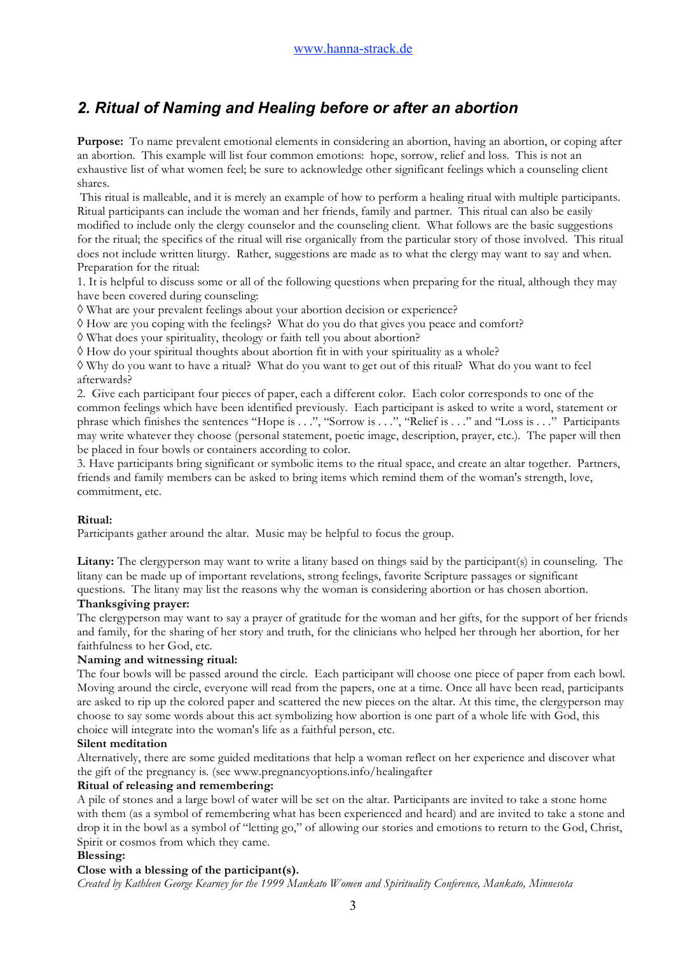# *2. Ritual of Naming and Healing before or after an abortion*

**Purpose:** To name prevalent emotional elements in considering an abortion, having an abortion, or coping after an abortion. This example will list four common emotions: hope, sorrow, relief and loss. This is not an exhaustive list of what women feel; be sure to acknowledge other significant feelings which a counseling client shares.

This ritual is malleable, and it is merely an example of how to perform a healing ritual with multiple participants. Ritual participants can include the woman and her friends, family and partner. This ritual can also be easily modified to include only the clergy counselor and the counseling client. What follows are the basic suggestions for the ritual; the specifics of the ritual will rise organically from the particular story of those involved. This ritual does not include written liturgy. Rather, suggestions are made as to what the clergy may want to say and when. Preparation for the ritual:

1. It is helpful to discuss some or all of the following questions when preparing for the ritual, although they may have been covered during counseling:

◊ What are your prevalent feelings about your abortion decision or experience?

◊ How are you coping with the feelings? What do you do that gives you peace and comfort?

◊ What does your spirituality, theology or faith tell you about abortion?

◊ How do your spiritual thoughts about abortion fit in with your spirituality as a whole?

◊ Why do you want to have a ritual? What do you want to get out of this ritual? What do you want to feel afterwards?

2. Give each participant four pieces of paper, each a different color. Each color corresponds to one of the common feelings which have been identified previously. Each participant is asked to write a word, statement or phrase which finishes the sentences "Hope is . . .", "Sorrow is . . .", "Relief is . . ." and "Loss is . . ." Participants may write whatever they choose (personal statement, poetic image, description, prayer, etc.). The paper will then be placed in four bowls or containers according to color.

3. Have participants bring significant or symbolic items to the ritual space, and create an altar together. Partners, friends and family members can be asked to bring items which remind them of the woman's strength, love, commitment, etc.

## **Ritual:**

Participants gather around the altar. Music may be helpful to focus the group.

**Litany:** The clergyperson may want to write a litany based on things said by the participant(s) in counseling. The litany can be made up of important revelations, strong feelings, favorite Scripture passages or significant questions. The litany may list the reasons why the woman is considering abortion or has chosen abortion.

#### **Thanksgiving prayer:**

The clergyperson may want to say a prayer of gratitude for the woman and her gifts, for the support of her friends and family, for the sharing of her story and truth, for the clinicians who helped her through her abortion, for her faithfulness to her God, etc.

#### **Naming and witnessing ritual:**

The four bowls will be passed around the circle. Each participant will choose one piece of paper from each bowl. Moving around the circle, everyone will read from the papers, one at a time. Once all have been read, participants are asked to rip up the colored paper and scattered the new pieces on the altar. At this time, the clergyperson may choose to say some words about this act symbolizing how abortion is one part of a whole life with God, this choice will integrate into the woman's life as a faithful person, etc.

#### **Silent meditation**

Alternatively, there are some guided meditations that help a woman reflect on her experience and discover what the gift of the pregnancy is. (see www.pregnancyoptions.info/healingafter

## **Ritual of releasing and remembering:**

A pile of stones and a large bowl of water will be set on the altar. Participants are invited to take a stone home with them (as a symbol of remembering what has been experienced and heard) and are invited to take a stone and drop it in the bowl as a symbol of "letting go," of allowing our stories and emotions to return to the God, Christ, Spirit or cosmos from which they came.

## **Blessing:**

## **Close with a blessing of the participant(s).**

*Created by Kathleen George Kearney for the 1999 Mankato Women and Spirituality Conference, Mankato, Minnesota*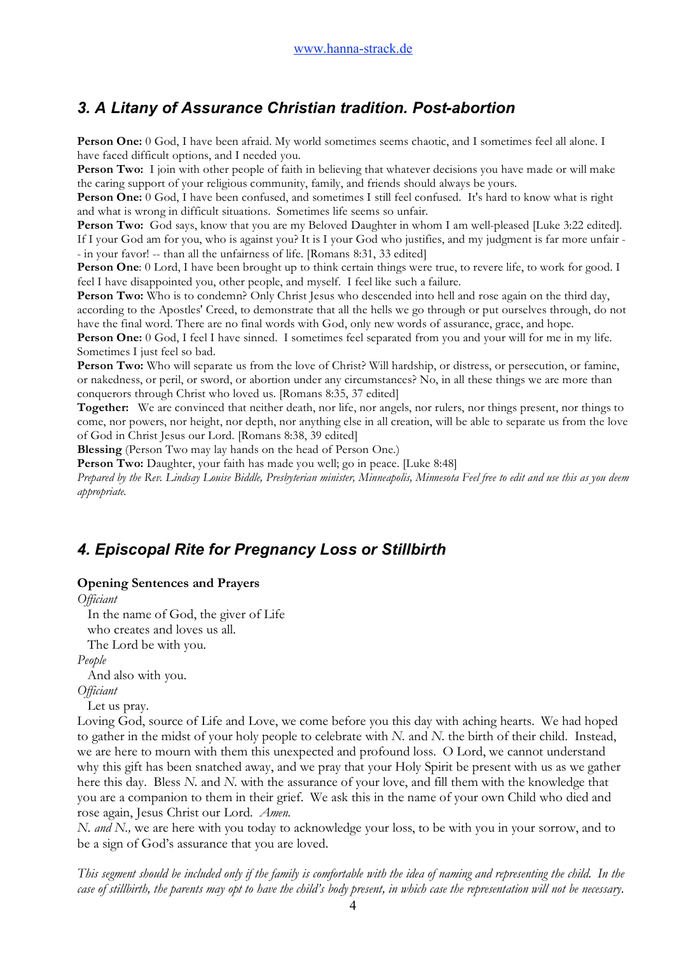# *3. A Litany of Assurance Christian tradition. Post-abortion*

Person One: 0 God, I have been afraid. My world sometimes seems chaotic, and I sometimes feel all alone. I have faced difficult options, and I needed you.

**Person Two:** I join with other people of faith in believing that whatever decisions you have made or will make the caring support of your religious community, family, and friends should always be yours.

**Person One:** 0 God, I have been confused, and sometimes I still feel confused. It's hard to know what is right and what is wrong in difficult situations. Sometimes life seems so unfair.

**Person Two:** God says, know that you are my Beloved Daughter in whom I am well-pleased [Luke 3:22 edited]. If I your God am for you, who is against you? It is I your God who justifies, and my judgment is far more unfair - - in your favor! -- than all the unfairness of life. [Romans 8:31, 33 edited]

**Person One**: 0 Lord, I have been brought up to think certain things were true, to revere life, to work for good. I feel I have disappointed you, other people, and myself. I feel like such a failure.

**Person Two:** Who is to condemn? Only Christ Jesus who descended into hell and rose again on the third day, according to the Apostles' Creed, to demonstrate that all the hells we go through or put ourselves through, do not have the final word. There are no final words with God, only new words of assurance, grace, and hope.

**Person One:** 0 God, I feel I have sinned. I sometimes feel separated from you and your will for me in my life. Sometimes I just feel so bad.

Person Two: Who will separate us from the love of Christ? Will hardship, or distress, or persecution, or famine, or nakedness, or peril, or sword, or abortion under any circumstances? No, in all these things we are more than conquerors through Christ who loved us. [Romans 8:35, 37 edited]

**Together:** We are convinced that neither death, nor life, nor angels, nor rulers, nor things present, nor things to come, nor powers, nor height, nor depth, nor anything else in all creation, will be able to separate us from the love of God in Christ Jesus our Lord. [Romans 8:38, 39 edited]

**Blessing** (Person Two may lay hands on the head of Person One.)

Person Two: Daughter, your faith has made you well; go in peace. [Luke 8:48]

*Prepared by the Rev. Lindsay Louise Biddle, Presbyterian minister, Minneapolis, Minnesota Feel free to edit and use this as you deem appropriate.*

# *4. Episcopal Rite for Pregnancy Loss or Stillbirth*

## **Opening Sentences and Prayers**

*Officiant*

 In the name of God, the giver of Life who creates and loves us all.

The Lord be with you.

*People*

And also with you.

*Officiant*

Let us pray.

Loving God, source of Life and Love, we come before you this day with aching hearts. We had hoped to gather in the midst of your holy people to celebrate with *N.* and *N.* the birth of their child. Instead, we are here to mourn with them this unexpected and profound loss. O Lord, we cannot understand why this gift has been snatched away, and we pray that your Holy Spirit be present with us as we gather here this day. Bless *N.* and *N.* with the assurance of your love, and fill them with the knowledge that you are a companion to them in their grief. We ask this in the name of your own Child who died and rose again, Jesus Christ our Lord. *Amen.*

*N. and N.*, we are here with you today to acknowledge your loss, to be with you in your sorrow, and to be a sign of God's assurance that you are loved.

*This segment should be included only if the family is comfortable with the idea of naming and representing the child. In the case of stillbirth, the parents may opt to have the child's body present, in which case the representation will not be necessary.*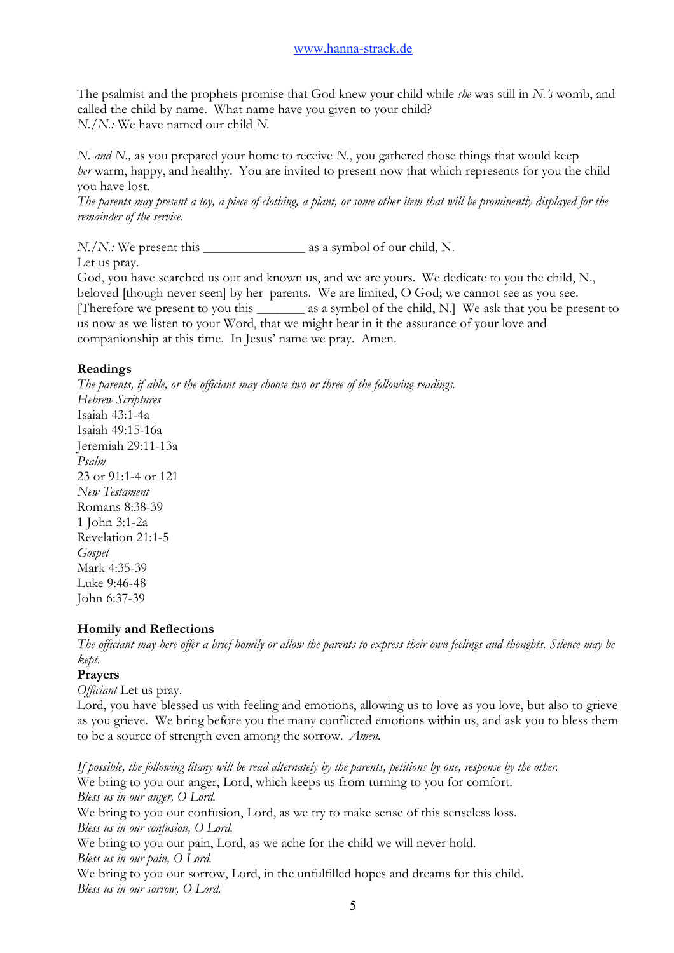The psalmist and the prophets promise that God knew your child while *she* was still in *N.'s* womb, and called the child by name. What name have you given to your child? *N./N.:* We have named our child *N.*

*N. and N.,* as you prepared your home to receive *N.*, you gathered those things that would keep *her* warm, happy, and healthy. You are invited to present now that which represents for you the child you have lost.

*The parents may present a toy, a piece of clothing, a plant, or some other item that will be prominently displayed for the remainder of the service.*

*N./N.:* We present this \_\_\_\_\_\_\_\_\_\_\_\_\_\_\_ as a symbol of our child, N.

Let us pray.

God, you have searched us out and known us, and we are yours. We dedicate to you the child, N., beloved [though never seen] by her parents. We are limited, O God; we cannot see as you see. [Therefore we present to you this \_\_\_\_\_\_\_ as a symbol of the child, N.] We ask that you be present to us now as we listen to your Word, that we might hear in it the assurance of your love and companionship at this time. In Jesus' name we pray. Amen.

## **Readings**

*The parents, if able, or the officiant may choose two or three of the following readings. Hebrew Scriptures* Isaiah 43:1-4a Isaiah 49:15-16a Jeremiah 29:11-13a *Psalm* 23 or 91:1-4 or 121 *New Testament* Romans 8:38-39 1 John 3:1-2a Revelation 21:1-5 *Gospel* Mark 4:35-39 Luke 9:46-48 John 6:37-39

## **Homily and Reflections**

*The officiant may here offer a brief homily or allow the parents to express their own feelings and thoughts. Silence may be kept.*

## **Prayers**

*Officiant* Let us pray.

Lord, you have blessed us with feeling and emotions, allowing us to love as you love, but also to grieve as you grieve. We bring before you the many conflicted emotions within us, and ask you to bless them to be a source of strength even among the sorrow. *Amen.*

*If possible, the following litany will be read alternately by the parents, petitions by one, response by the other.* We bring to you our anger, Lord, which keeps us from turning to you for comfort. *Bless us in our anger, O Lord.* We bring to you our confusion, Lord, as we try to make sense of this senseless loss. *Bless us in our confusion, O Lord.* We bring to you our pain, Lord, as we ache for the child we will never hold. *Bless us in our pain, O Lord.* We bring to you our sorrow, Lord, in the unfulfilled hopes and dreams for this child. *Bless us in our sorrow, O Lord.*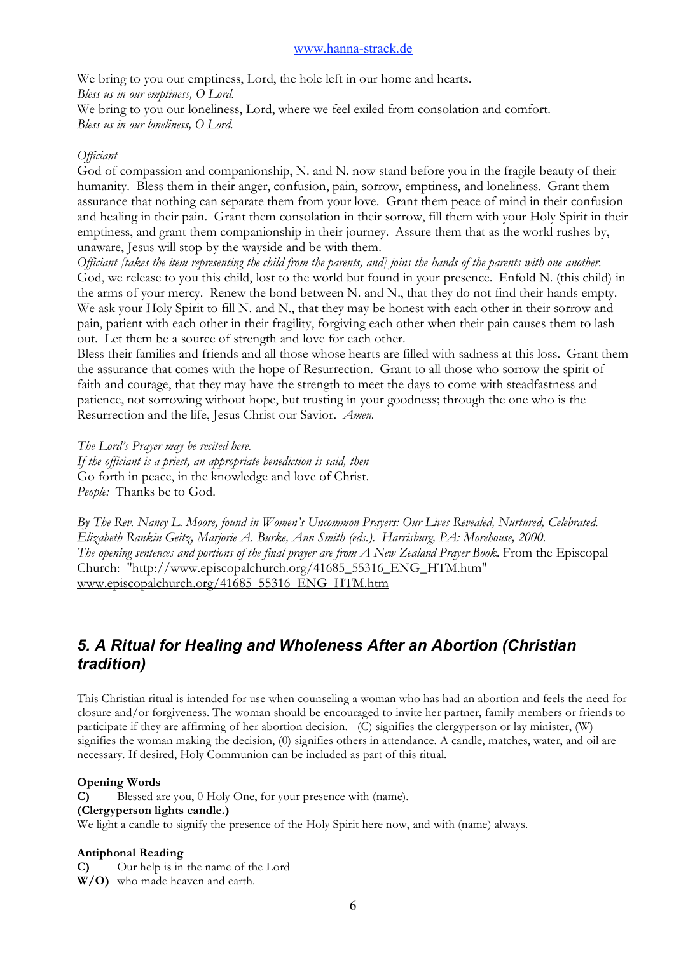We bring to you our emptiness, Lord, the hole left in our home and hearts. *Bless us in our emptiness, O Lord.* We bring to you our loneliness, Lord, where we feel exiled from consolation and comfort. *Bless us in our loneliness, O Lord.*

## *Officiant*

God of compassion and companionship, N. and N. now stand before you in the fragile beauty of their humanity. Bless them in their anger, confusion, pain, sorrow, emptiness, and loneliness. Grant them assurance that nothing can separate them from your love. Grant them peace of mind in their confusion and healing in their pain. Grant them consolation in their sorrow, fill them with your Holy Spirit in their emptiness, and grant them companionship in their journey. Assure them that as the world rushes by, unaware, Jesus will stop by the wayside and be with them.

*Officiant [takes the item representing the child from the parents, and] joins the hands of the parents with one another.* God, we release to you this child, lost to the world but found in your presence. Enfold N. (this child) in the arms of your mercy. Renew the bond between N. and N., that they do not find their hands empty. We ask your Holy Spirit to fill N. and N., that they may be honest with each other in their sorrow and pain, patient with each other in their fragility, forgiving each other when their pain causes them to lash out. Let them be a source of strength and love for each other.

Bless their families and friends and all those whose hearts are filled with sadness at this loss. Grant them the assurance that comes with the hope of Resurrection. Grant to all those who sorrow the spirit of faith and courage, that they may have the strength to meet the days to come with steadfastness and patience, not sorrowing without hope, but trusting in your goodness; through the one who is the Resurrection and the life, Jesus Christ our Savior. *Amen.*

*The Lord's Prayer may be recited here. If the officiant is a priest, an appropriate benediction is said, then* Go forth in peace, in the knowledge and love of Christ. *People:* Thanks be to God.

*By The Rev. Nancy L. Moore, found in Women's Uncommon Prayers: Our Lives Revealed, Nurtured, Celebrated. Elizabeth Rankin Geitz, Marjorie A. Burke, Ann Smith (eds.). Harrisburg, PA: Morehouse, 2000. The opening sentences and portions of the final prayer are from A New Zealand Prayer Book.* From the Episcopal Church: "http://www.episcopalchurch.org/41685\_55316\_ENG\_HTM.htm" www.episcopalchurch.org/41685\_55316\_ENG\_HTM.htm

# *5. A Ritual for Healing and Wholeness After an Abortion (Christian tradition)*

This Christian ritual is intended for use when counseling a woman who has had an abortion and feels the need for closure and/or forgiveness. The woman should be encouraged to invite her partner, family members or friends to participate if they are affirming of her abortion decision. (C) signifies the clergyperson or lay minister, (W) signifies the woman making the decision, (0) signifies others in attendance. A candle, matches, water, and oil are necessary. If desired, Holy Communion can be included as part of this ritual.

## **Opening Words**

**C)** Blessed are you, 0 Holy One, for your presence with (name).

## **(Clergyperson lights candle.)**

We light a candle to signify the presence of the Holy Spirit here now, and with (name) always.

## **Antiphonal Reading**

**C)** Our help is in the name of the Lord

**W/O)** who made heaven and earth.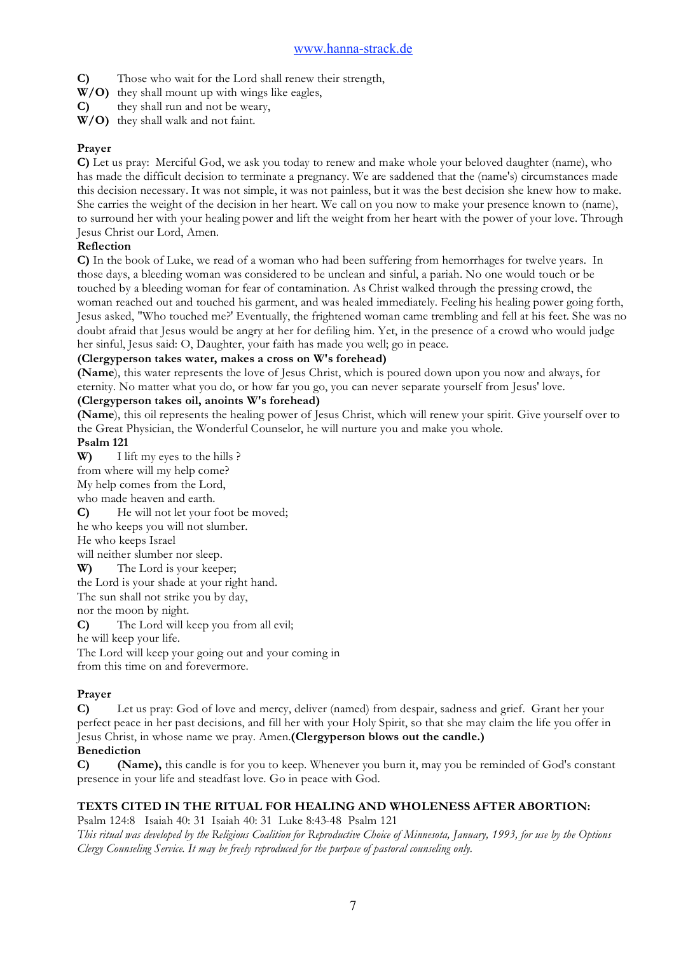**C)** Those who wait for the Lord shall renew their strength,

- **W/O)** they shall mount up with wings like eagles,
- **C)** they shall run and not be weary,
- **W/O)** they shall walk and not faint.

## **Prayer**

**C)** Let us pray: Merciful God, we ask you today to renew and make whole your beloved daughter (name), who has made the difficult decision to terminate a pregnancy. We are saddened that the (name's) circumstances made this decision necessary. It was not simple, it was not painless, but it was the best decision she knew how to make. She carries the weight of the decision in her heart. We call on you now to make your presence known to (name), to surround her with your healing power and lift the weight from her heart with the power of your love. Through Jesus Christ our Lord, Amen.

## **Reflection**

**C)** In the book of Luke, we read of a woman who had been suffering from hemorrhages for twelve years. In those days, a bleeding woman was considered to be unclean and sinful, a pariah. No one would touch or be touched by a bleeding woman for fear of contamination. As Christ walked through the pressing crowd, the woman reached out and touched his garment, and was healed immediately. Feeling his healing power going forth, Jesus asked, "Who touched me?' Eventually, the frightened woman came trembling and fell at his feet. She was no doubt afraid that Jesus would be angry at her for defiling him. Yet, in the presence of a crowd who would judge her sinful, Jesus said: O, Daughter, your faith has made you well; go in peace.

## **(Clergyperson takes water, makes a cross on W's forehead)**

**(Name**), this water represents the love of Jesus Christ, which is poured down upon you now and always, for eternity. No matter what you do, or how far you go, you can never separate yourself from Jesus' love.

## **(Clergyperson takes oil, anoints W's forehead)**

**(Name**), this oil represents the healing power of Jesus Christ, which will renew your spirit. Give yourself over to the Great Physician, the Wonderful Counselor, he will nurture you and make you whole.

## **Psalm 121**

**W)** I lift my eyes to the hills ?

from where will my help come?

My help comes from the Lord,

who made heaven and earth.

**C)** He will not let your foot be moved;

he who keeps you will not slumber.

He who keeps Israel

will neither slumber nor sleep.

**W)** The Lord is your keeper;

the Lord is your shade at your right hand.

The sun shall not strike you by day,

nor the moon by night.

**C)** The Lord will keep you from all evil;

he will keep your life.

The Lord will keep your going out and your coming in from this time on and forevermore.

## **Prayer**

**C)** Let us pray: God of love and mercy, deliver (named) from despair, sadness and grief. Grant her your perfect peace in her past decisions, and fill her with your Holy Spirit, so that she may claim the life you offer in Jesus Christ, in whose name we pray. Amen.**(Clergyperson blows out the candle.)**

## **Benediction**

**C) (Name),** this candle is for you to keep. Whenever you burn it, may you be reminded of God's constant presence in your life and steadfast love. Go in peace with God.

## **TEXTS CITED IN THE RITUAL FOR HEALING AND WHOLENESS AFTER ABORTION:**

Psalm 124:8 Isaiah 40: 31 Isaiah 40: 31 Luke 8:43-48 Psalm 121

*This ritual was developed by the Religious Coalition for Reproductive Choice of Minnesota, January, 1993, for use by the Options Clergy Counseling Service. It may be freely reproduced for the purpose of pastoral counseling only.*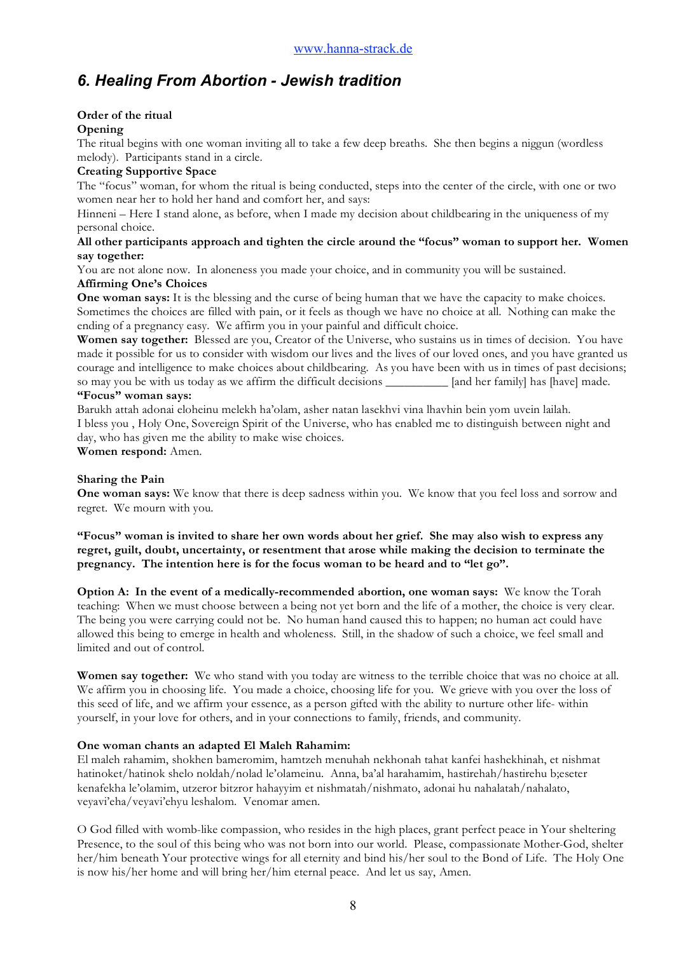# *6. Healing From Abortion - Jewish tradition*

## **Order of the ritual**

## **Opening**

The ritual begins with one woman inviting all to take a few deep breaths. She then begins a niggun (wordless melody). Participants stand in a circle.

## **Creating Supportive Space**

The "focus" woman, for whom the ritual is being conducted, steps into the center of the circle, with one or two women near her to hold her hand and comfort her, and says:

Hinneni – Here I stand alone, as before, when I made my decision about childbearing in the uniqueness of my personal choice.

#### **All other participants approach and tighten the circle around the "focus" woman to support her. Women say together:**

You are not alone now. In aloneness you made your choice, and in community you will be sustained.

## **Affirming One's Choices**

**One woman says:** It is the blessing and the curse of being human that we have the capacity to make choices. Sometimes the choices are filled with pain, or it feels as though we have no choice at all. Nothing can make the ending of a pregnancy easy. We affirm you in your painful and difficult choice.

**Women say together:** Blessed are you, Creator of the Universe, who sustains us in times of decision. You have made it possible for us to consider with wisdom our lives and the lives of our loved ones, and you have granted us courage and intelligence to make choices about childbearing. As you have been with us in times of past decisions; so may you be with us today as we affirm the difficult decisions \_\_\_\_\_\_\_\_\_\_\_ [and her family] has [have] made. **"Focus" woman says:**

Barukh attah adonai eloheinu melekh ha'olam, asher natan lasekhvi vina lhavhin bein yom uvein lailah. I bless you , Holy One, Sovereign Spirit of the Universe, who has enabled me to distinguish between night and day, who has given me the ability to make wise choices.

**Women respond:** Amen.

## **Sharing the Pain**

**One woman says:** We know that there is deep sadness within you. We know that you feel loss and sorrow and regret. We mourn with you.

**"Focus" woman is invited to share her own words about her grief. She may also wish to express any regret, guilt, doubt, uncertainty, or resentment that arose while making the decision to terminate the pregnancy. The intention here is for the focus woman to be heard and to "let go".**

**Option A: In the event of a medically-recommended abortion, one woman says:** We know the Torah teaching: When we must choose between a being not yet born and the life of a mother, the choice is very clear. The being you were carrying could not be. No human hand caused this to happen; no human act could have allowed this being to emerge in health and wholeness. Still, in the shadow of such a choice, we feel small and limited and out of control.

**Women say together:** We who stand with you today are witness to the terrible choice that was no choice at all. We affirm you in choosing life. You made a choice, choosing life for you. We grieve with you over the loss of this seed of life, and we affirm your essence, as a person gifted with the ability to nurture other life- within yourself, in your love for others, and in your connections to family, friends, and community.

## **One woman chants an adapted El Maleh Rahamim:**

El maleh rahamim, shokhen bameromim, hamtzeh menuhah nekhonah tahat kanfei hashekhinah, et nishmat hatinoket/hatinok shelo noldah/nolad le'olameinu. Anna, ba'al harahamim, hastirehah/hastirehu b;eseter kenafekha le'olamim, utzeror bitzror hahayyim et nishmatah/nishmato, adonai hu nahalatah/nahalato, veyavi'eha/veyavi'ehyu leshalom. Venomar amen.

O God filled with womb-like compassion, who resides in the high places, grant perfect peace in Your sheltering Presence, to the soul of this being who was not born into our world. Please, compassionate Mother-God, shelter her/him beneath Your protective wings for all eternity and bind his/her soul to the Bond of Life. The Holy One is now his/her home and will bring her/him eternal peace. And let us say, Amen.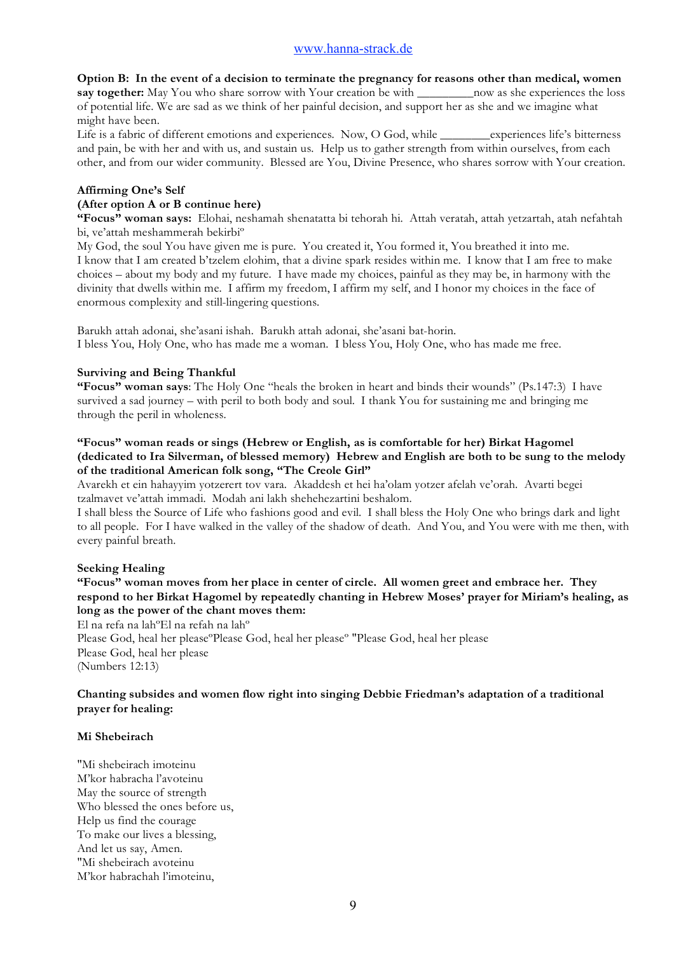**Option B: In the event of a decision to terminate the pregnancy for reasons other than medical, women say together:** May You who share sorrow with Your creation be with \_\_\_\_\_\_\_\_\_now as she experiences the loss of potential life. We are sad as we think of her painful decision, and support her as she and we imagine what might have been.

Life is a fabric of different emotions and experiences. Now, O God, while \_\_\_\_\_\_\_\_experiences life's bitterness and pain, be with her and with us, and sustain us. Help us to gather strength from within ourselves, from each other, and from our wider community. Blessed are You, Divine Presence, who shares sorrow with Your creation.

## **Affirming One's Self**

## **(After option A or B continue here)**

**"Focus" woman says:** Elohai, neshamah shenatatta bi tehorah hi. Attah veratah, attah yetzartah, atah nefahtah bi, ve'attah meshammerah bekirbiº

My God, the soul You have given me is pure. You created it, You formed it, You breathed it into me. I know that I am created b'tzelem elohim, that a divine spark resides within me. I know that I am free to make choices – about my body and my future. I have made my choices, painful as they may be, in harmony with the divinity that dwells within me. I affirm my freedom, I affirm my self, and I honor my choices in the face of enormous complexity and still-lingering questions.

Barukh attah adonai, she'asani ishah. Barukh attah adonai, she'asani bat-horin. I bless You, Holy One, who has made me a woman. I bless You, Holy One, who has made me free.

## **Surviving and Being Thankful**

**"Focus" woman says**: The Holy One "heals the broken in heart and binds their wounds" (Ps.147:3) I have survived a sad journey – with peril to both body and soul. I thank You for sustaining me and bringing me through the peril in wholeness.

## **"Focus" woman reads or sings (Hebrew or English, as is comfortable for her) Birkat Hagomel (dedicated to Ira Silverman, of blessed memory) Hebrew and English are both to be sung to the melody of the traditional American folk song, "The Creole Girl"**

Avarekh et ein hahayyim yotzerert tov vara. Akaddesh et hei ha'olam yotzer afelah ve'orah. Avarti begei tzalmavet ve'attah immadi. Modah ani lakh shehehezartini beshalom.

I shall bless the Source of Life who fashions good and evil. I shall bless the Holy One who brings dark and light to all people. For I have walked in the valley of the shadow of death. And You, and You were with me then, with every painful breath.

#### **Seeking Healing**

**"Focus" woman moves from her place in center of circle. All women greet and embrace her. They respond to her Birkat Hagomel by repeatedly chanting in Hebrew Moses' prayer for Miriam's healing, as long as the power of the chant moves them:**

El na refa na lahºEl na refah na lahº

Please God, heal her please°Please God, heal her please° "Please God, heal her please Please God, heal her please (Numbers 12:13)

## **Chanting subsides and women flow right into singing Debbie Friedman's adaptation of a traditional prayer for healing:**

#### **Mi Shebeirach**

"Mi shebeirach imoteinu M'kor habracha l'avoteinu May the source of strength Who blessed the ones before us, Help us find the courage To make our lives a blessing, And let us say, Amen. "Mi shebeirach avoteinu M'kor habrachah l'imoteinu,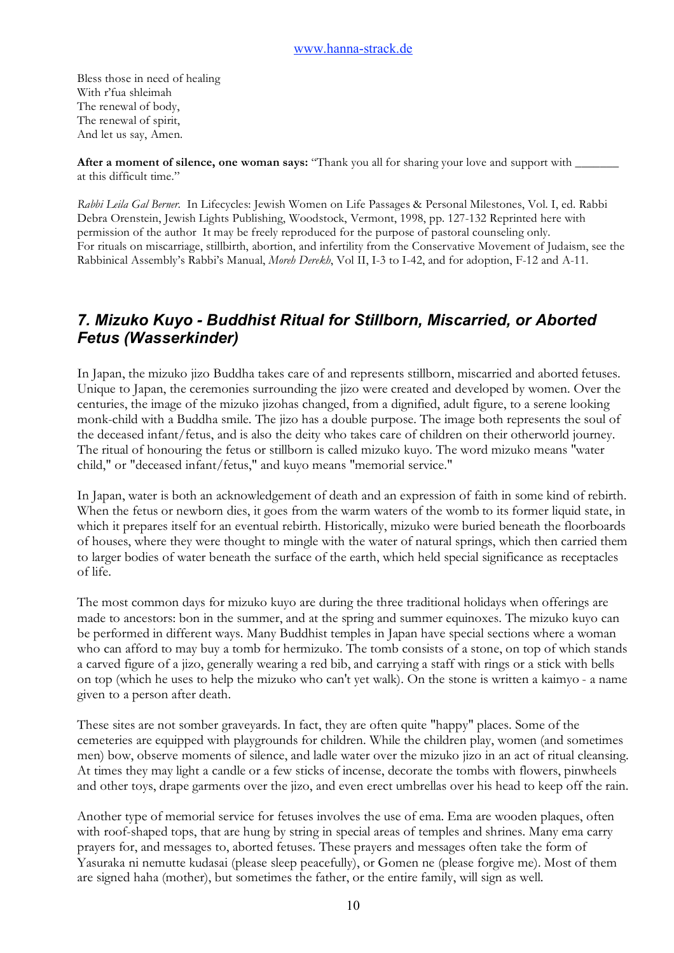Bless those in need of healing With r'fua shleimah The renewal of body, The renewal of spirit, And let us say, Amen.

**After a moment of silence, one woman says:** "Thank you all for sharing your love and support with \_\_\_\_\_\_\_ at this difficult time."

*Rabbi Leila Gal Berner.* In Lifecycles: Jewish Women on Life Passages & Personal Milestones, Vol. I, ed. Rabbi Debra Orenstein, Jewish Lights Publishing, Woodstock, Vermont, 1998, pp. 127-132 Reprinted here with permission of the author It may be freely reproduced for the purpose of pastoral counseling only. For rituals on miscarriage, stillbirth, abortion, and infertility from the Conservative Movement of Judaism, see the Rabbinical Assembly's Rabbi's Manual, *Moreh Derekh*, Vol II, I-3 to I-42, and for adoption, F-12 and A-11.

# *7. Mizuko Kuyo - Buddhist Ritual for Stillborn, Miscarried, or Aborted Fetus (Wasserkinder)*

In Japan, the mizuko jizo Buddha takes care of and represents stillborn, miscarried and aborted fetuses. Unique to Japan, the ceremonies surrounding the jizo were created and developed by women. Over the centuries, the image of the mizuko jizohas changed, from a dignified, adult figure, to a serene looking monk-child with a Buddha smile. The jizo has a double purpose. The image both represents the soul of the deceased infant/fetus, and is also the deity who takes care of children on their otherworld journey. The ritual of honouring the fetus or stillborn is called mizuko kuyo. The word mizuko means "water child," or "deceased infant/fetus," and kuyo means "memorial service."

In Japan, water is both an acknowledgement of death and an expression of faith in some kind of rebirth. When the fetus or newborn dies, it goes from the warm waters of the womb to its former liquid state, in which it prepares itself for an eventual rebirth. Historically, mizuko were buried beneath the floorboards of houses, where they were thought to mingle with the water of natural springs, which then carried them to larger bodies of water beneath the surface of the earth, which held special significance as receptacles of life.

The most common days for mizuko kuyo are during the three traditional holidays when offerings are made to ancestors: bon in the summer, and at the spring and summer equinoxes. The mizuko kuyo can be performed in different ways. Many Buddhist temples in Japan have special sections where a woman who can afford to may buy a tomb for hermizuko. The tomb consists of a stone, on top of which stands a carved figure of a jizo, generally wearing a red bib, and carrying a staff with rings or a stick with bells on top (which he uses to help the mizuko who can't yet walk). On the stone is written a kaimyo - a name given to a person after death.

These sites are not somber graveyards. In fact, they are often quite "happy" places. Some of the cemeteries are equipped with playgrounds for children. While the children play, women (and sometimes men) bow, observe moments of silence, and ladle water over the mizuko jizo in an act of ritual cleansing. At times they may light a candle or a few sticks of incense, decorate the tombs with flowers, pinwheels and other toys, drape garments over the jizo, and even erect umbrellas over his head to keep off the rain.

Another type of memorial service for fetuses involves the use of ema. Ema are wooden plaques, often with roof-shaped tops, that are hung by string in special areas of temples and shrines. Many ema carry prayers for, and messages to, aborted fetuses. These prayers and messages often take the form of Yasuraka ni nemutte kudasai (please sleep peacefully), or Gomen ne (please forgive me). Most of them are signed haha (mother), but sometimes the father, or the entire family, will sign as well.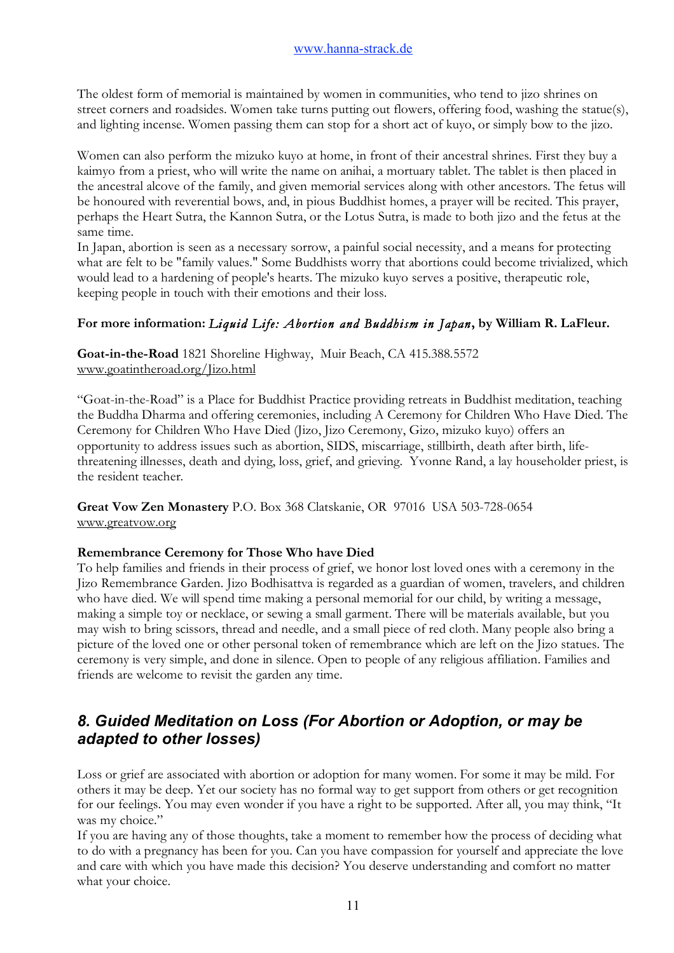The oldest form of memorial is maintained by women in communities, who tend to jizo shrines on street corners and roadsides. Women take turns putting out flowers, offering food, washing the statue(s), and lighting incense. Women passing them can stop for a short act of kuyo, or simply bow to the jizo.

Women can also perform the mizuko kuyo at home, in front of their ancestral shrines. First they buy a kaimyo from a priest, who will write the name on anihai, a mortuary tablet. The tablet is then placed in the ancestral alcove of the family, and given memorial services along with other ancestors. The fetus will be honoured with reverential bows, and, in pious Buddhist homes, a prayer will be recited. This prayer, perhaps the Heart Sutra, the Kannon Sutra, or the Lotus Sutra, is made to both jizo and the fetus at the same time.

In Japan, abortion is seen as a necessary sorrow, a painful social necessity, and a means for protecting what are felt to be "family values." Some Buddhists worry that abortions could become trivialized, which would lead to a hardening of people's hearts. The mizuko kuyo serves a positive, therapeutic role, keeping people in touch with their emotions and their loss.

## **For more information:** *Liquid Life: Abortion and Buddhism in Japan***, by William R. LaFleur.**

**Goat-in-the-Road** 1821 Shoreline Highway, Muir Beach, CA 415.388.5572 www.goatintheroad.org/Jizo.html

"Goat-in-the-Road" is a Place for Buddhist Practice providing retreats in Buddhist meditation, teaching the Buddha Dharma and offering ceremonies, including A Ceremony for Children Who Have Died. The Ceremony for Children Who Have Died (Jizo, Jizo Ceremony, Gizo, mizuko kuyo) offers an opportunity to address issues such as abortion, SIDS, miscarriage, stillbirth, death after birth, lifethreatening illnesses, death and dying, loss, grief, and grieving. Yvonne Rand, a lay householder priest, is the resident teacher.

**Great Vow Zen Monastery** P.O. Box 368 Clatskanie, OR 97016 USA 503-728-0654 www.greatvow.org

## **Remembrance Ceremony for Those Who have Died**

To help families and friends in their process of grief, we honor lost loved ones with a ceremony in the Jizo Remembrance Garden. Jizo Bodhisattva is regarded as a guardian of women, travelers, and children who have died. We will spend time making a personal memorial for our child, by writing a message, making a simple toy or necklace, or sewing a small garment. There will be materials available, but you may wish to bring scissors, thread and needle, and a small piece of red cloth. Many people also bring a picture of the loved one or other personal token of remembrance which are left on the Jizo statues. The ceremony is very simple, and done in silence. Open to people of any religious affiliation. Families and friends are welcome to revisit the garden any time.

# *8. Guided Meditation on Loss (For Abortion or Adoption, or may be adapted to other losses)*

Loss or grief are associated with abortion or adoption for many women. For some it may be mild. For others it may be deep. Yet our society has no formal way to get support from others or get recognition for our feelings. You may even wonder if you have a right to be supported. After all, you may think, "It was my choice."

If you are having any of those thoughts, take a moment to remember how the process of deciding what to do with a pregnancy has been for you. Can you have compassion for yourself and appreciate the love and care with which you have made this decision? You deserve understanding and comfort no matter what your choice.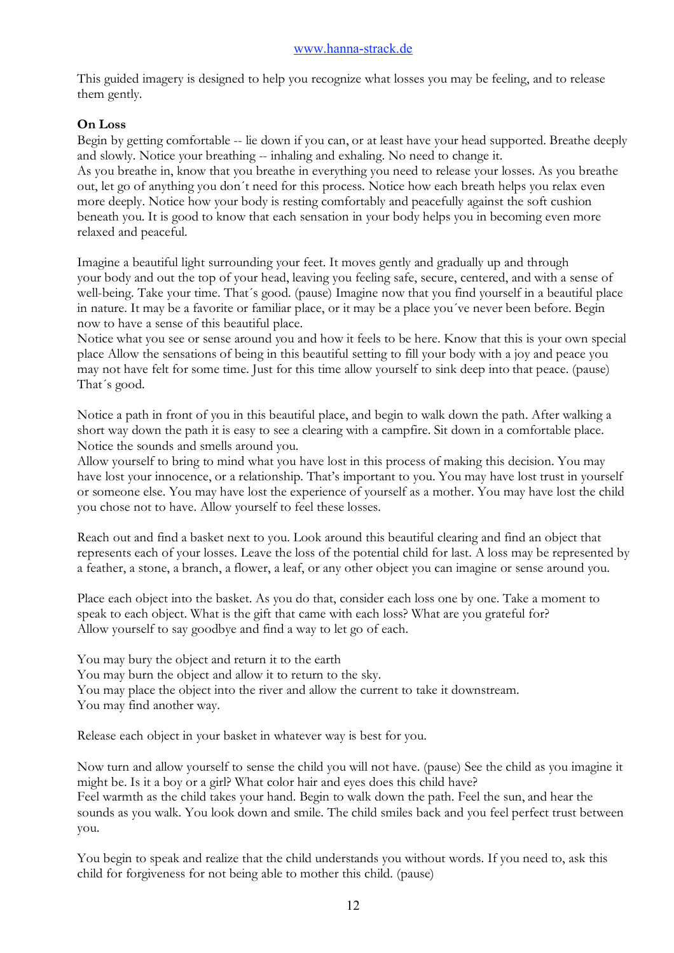This guided imagery is designed to help you recognize what losses you may be feeling, and to release them gently.

## **On Loss**

Begin by getting comfortable -- lie down if you can, or at least have your head supported. Breathe deeply and slowly. Notice your breathing -- inhaling and exhaling. No need to change it. As you breathe in, know that you breathe in everything you need to release your losses. As you breathe out, let go of anything you don´t need for this process. Notice how each breath helps you relax even more deeply. Notice how your body is resting comfortably and peacefully against the soft cushion beneath you. It is good to know that each sensation in your body helps you in becoming even more relaxed and peaceful.

Imagine a beautiful light surrounding your feet. It moves gently and gradually up and through your body and out the top of your head, leaving you feeling safe, secure, centered, and with a sense of well-being. Take your time. That´s good. (pause) Imagine now that you find yourself in a beautiful place in nature. It may be a favorite or familiar place, or it may be a place you´ve never been before. Begin now to have a sense of this beautiful place.

Notice what you see or sense around you and how it feels to be here. Know that this is your own special place Allow the sensations of being in this beautiful setting to fill your body with a joy and peace you may not have felt for some time. Just for this time allow yourself to sink deep into that peace. (pause) That´s good.

Notice a path in front of you in this beautiful place, and begin to walk down the path. After walking a short way down the path it is easy to see a clearing with a campfire. Sit down in a comfortable place. Notice the sounds and smells around you.

Allow yourself to bring to mind what you have lost in this process of making this decision. You may have lost your innocence, or a relationship. That's important to you. You may have lost trust in yourself or someone else. You may have lost the experience of yourself as a mother. You may have lost the child you chose not to have. Allow yourself to feel these losses.

Reach out and find a basket next to you. Look around this beautiful clearing and find an object that represents each of your losses. Leave the loss of the potential child for last. A loss may be represented by a feather, a stone, a branch, a flower, a leaf, or any other object you can imagine or sense around you.

Place each object into the basket. As you do that, consider each loss one by one. Take a moment to speak to each object. What is the gift that came with each loss? What are you grateful for? Allow yourself to say goodbye and find a way to let go of each.

You may bury the object and return it to the earth You may burn the object and allow it to return to the sky. You may place the object into the river and allow the current to take it downstream. You may find another way.

Release each object in your basket in whatever way is best for you.

Now turn and allow yourself to sense the child you will not have. (pause) See the child as you imagine it might be. Is it a boy or a girl? What color hair and eyes does this child have? Feel warmth as the child takes your hand. Begin to walk down the path. Feel the sun, and hear the sounds as you walk. You look down and smile. The child smiles back and you feel perfect trust between you.

You begin to speak and realize that the child understands you without words. If you need to, ask this child for forgiveness for not being able to mother this child. (pause)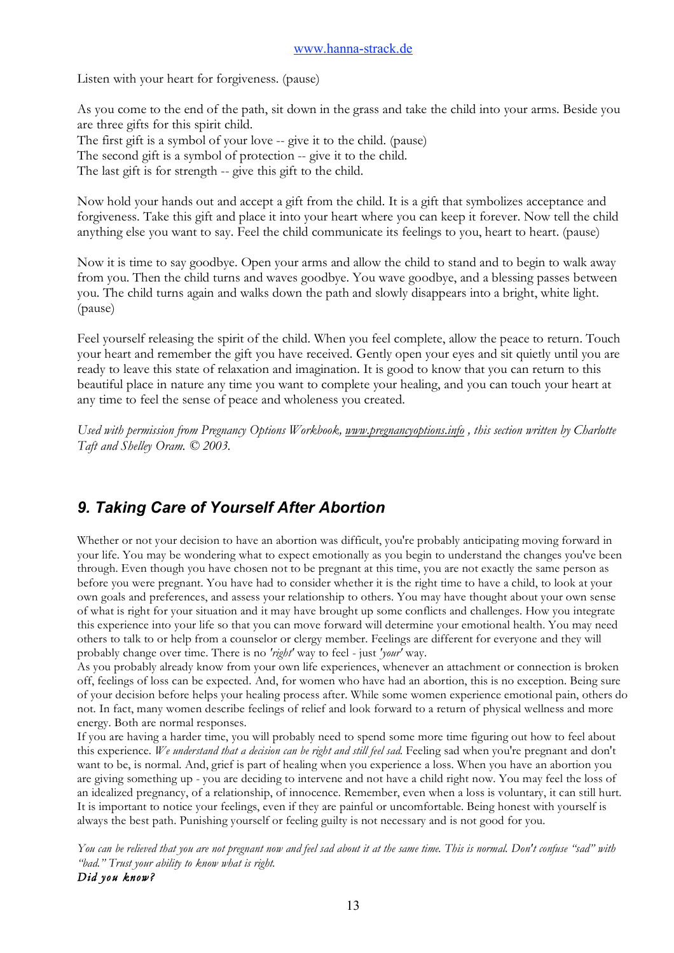Listen with your heart for forgiveness. (pause)

As you come to the end of the path, sit down in the grass and take the child into your arms. Beside you are three gifts for this spirit child.

The first gift is a symbol of your love -- give it to the child. (pause) The second gift is a symbol of protection -- give it to the child. The last gift is for strength -- give this gift to the child.

Now hold your hands out and accept a gift from the child. It is a gift that symbolizes acceptance and forgiveness. Take this gift and place it into your heart where you can keep it forever. Now tell the child anything else you want to say. Feel the child communicate its feelings to you, heart to heart. (pause)

Now it is time to say goodbye. Open your arms and allow the child to stand and to begin to walk away from you. Then the child turns and waves goodbye. You wave goodbye, and a blessing passes between you. The child turns again and walks down the path and slowly disappears into a bright, white light. (pause)

Feel yourself releasing the spirit of the child. When you feel complete, allow the peace to return. Touch your heart and remember the gift you have received. Gently open your eyes and sit quietly until you are ready to leave this state of relaxation and imagination. It is good to know that you can return to this beautiful place in nature any time you want to complete your healing, and you can touch your heart at any time to feel the sense of peace and wholeness you created.

*Used with permission from Pregnancy Options Workbook, www.pregnancyoptions.info , this section written by Charlotte Taft and Shelley Oram. © 2003.*

# *9. Taking Care of Yourself After Abortion*

Whether or not your decision to have an abortion was difficult, you're probably anticipating moving forward in your life. You may be wondering what to expect emotionally as you begin to understand the changes you've been through. Even though you have chosen not to be pregnant at this time, you are not exactly the same person as before you were pregnant. You have had to consider whether it is the right time to have a child, to look at your own goals and preferences, and assess your relationship to others. You may have thought about your own sense of what is right for your situation and it may have brought up some conflicts and challenges. How you integrate this experience into your life so that you can move forward will determine your emotional health. You may need others to talk to or help from a counselor or clergy member. Feelings are different for everyone and they will probably change over time. There is no *'right'* way to feel - just *'your'* way.

As you probably already know from your own life experiences, whenever an attachment or connection is broken off, feelings of loss can be expected. And, for women who have had an abortion, this is no exception. Being sure of your decision before helps your healing process after. While some women experience emotional pain, others do not. In fact, many women describe feelings of relief and look forward to a return of physical wellness and more energy. Both are normal responses.

If you are having a harder time, you will probably need to spend some more time figuring out how to feel about this experience. *We understand that a decision can be right and still feel sad.* Feeling sad when you're pregnant and don't want to be, is normal. And, grief is part of healing when you experience a loss. When you have an abortion you are giving something up - you are deciding to intervene and not have a child right now. You may feel the loss of an idealized pregnancy, of a relationship, of innocence. Remember, even when a loss is voluntary, it can still hurt. It is important to notice your feelings, even if they are painful or uncomfortable. Being honest with yourself is always the best path. Punishing yourself or feeling guilty is not necessary and is not good for you.

*You can be relieved that you are not pregnant now and feel sad about it at the same time. This is normal. Don't confuse "sad" with "bad." Trust your ability to know what is right. Did you know?*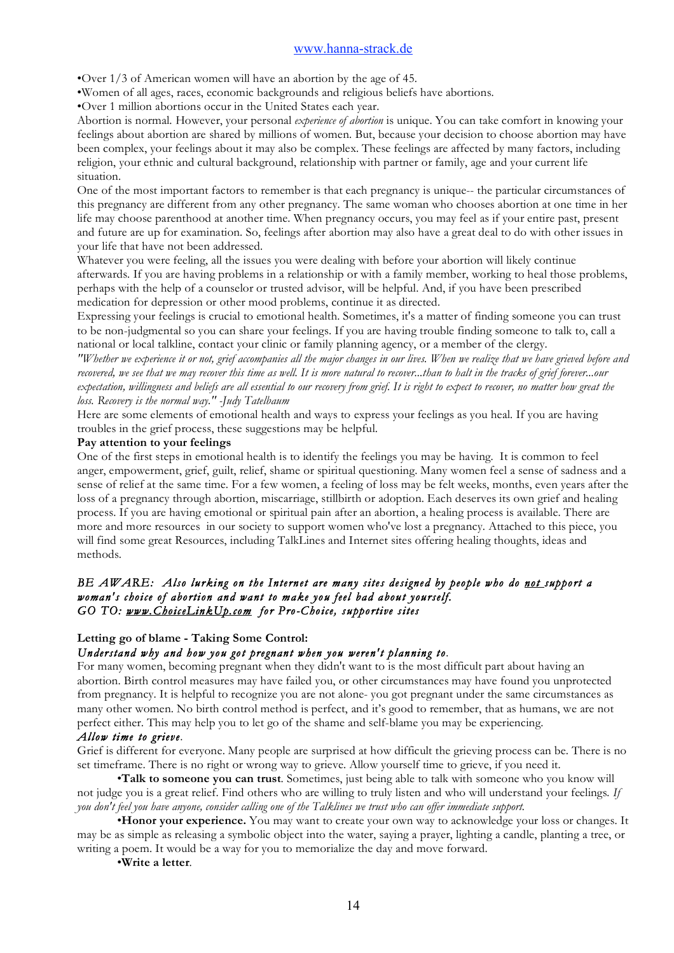•Over 1/3 of American women will have an abortion by the age of 45.

•Women of all ages, races, economic backgrounds and religious beliefs have abortions.

•Over 1 million abortions occur in the United States each year.

Abortion is normal. However, your personal *experience of abortion* is unique. You can take comfort in knowing your feelings about abortion are shared by millions of women. But, because your decision to choose abortion may have been complex, your feelings about it may also be complex. These feelings are affected by many factors, including religion, your ethnic and cultural background, relationship with partner or family, age and your current life situation.

One of the most important factors to remember is that each pregnancy is unique-- the particular circumstances of this pregnancy are different from any other pregnancy. The same woman who chooses abortion at one time in her life may choose parenthood at another time. When pregnancy occurs, you may feel as if your entire past, present and future are up for examination. So, feelings after abortion may also have a great deal to do with other issues in your life that have not been addressed.

Whatever you were feeling, all the issues you were dealing with before your abortion will likely continue afterwards. If you are having problems in a relationship or with a family member, working to heal those problems, perhaps with the help of a counselor or trusted advisor, will be helpful. And, if you have been prescribed medication for depression or other mood problems, continue it as directed.

Expressing your feelings is crucial to emotional health. Sometimes, it's a matter of finding someone you can trust to be non-judgmental so you can share your feelings. If you are having trouble finding someone to talk to, call a national or local talkline, contact your clinic or family planning agency, or a member of the clergy.

*"Whether we experience it or not, grief accompanies all the major changes in our lives. When we realize that we have grieved before and recovered, we see that we may recover this time as well. It is more natural to recover...than to halt in the tracks of grief forever...our expectation, willingness and beliefs are all essential to our recovery from grief. It is right to expect to recover, no matter how great the loss. Recovery is the normal way." -Judy Tatelbaum*

Here are some elements of emotional health and ways to express your feelings as you heal. If you are having troubles in the grief process, these suggestions may be helpful.

#### **Pay attention to your feelings**

One of the first steps in emotional health is to identify the feelings you may be having. It is common to feel anger, empowerment, grief, guilt, relief, shame or spiritual questioning. Many women feel a sense of sadness and a sense of relief at the same time. For a few women, a feeling of loss may be felt weeks, months, even years after the loss of a pregnancy through abortion, miscarriage, stillbirth or adoption. Each deserves its own grief and healing process. If you are having emotional or spiritual pain after an abortion, a healing process is available. There are more and more resources in our society to support women who've lost a pregnancy. Attached to this piece, you will find some great Resources, including TalkLines and Internet sites offering healing thoughts, ideas and methods.

#### *BE AWARE: Also lurking on the Internet are many sites designed by people who do not support a woman's choice of abortion and want to make you feel bad about yourself. GO TO: www.ChoiceLinkUp.com for Pro-Choice, supportive sites*

## **Letting go of blame - Taking Some Control:**

## *Understand why and how you got pregnant when you weren't planning to.*

For many women, becoming pregnant when they didn't want to is the most difficult part about having an abortion. Birth control measures may have failed you, or other circumstances may have found you unprotected from pregnancy. It is helpful to recognize you are not alone- you got pregnant under the same circumstances as many other women. No birth control method is perfect, and it's good to remember, that as humans, we are not perfect either. This may help you to let go of the shame and self-blame you may be experiencing.

#### *Allow time to grieve*.

Grief is different for everyone. Many people are surprised at how difficult the grieving process can be. There is no set timeframe. There is no right or wrong way to grieve. Allow yourself time to grieve, if you need it.

•**Talk to someone you can trust**. Sometimes, just being able to talk with someone who you know will not judge you is a great relief. Find others who are willing to truly listen and who will understand your feelings*. If you don't feel you have anyone, consider calling one of the Talklines we trust who can offer immediate support.*

•**Honor your experience.** You may want to create your own way to acknowledge your loss or changes. It may be as simple as releasing a symbolic object into the water, saying a prayer, lighting a candle, planting a tree, or writing a poem. It would be a way for you to memorialize the day and move forward.

•**Write a letter**.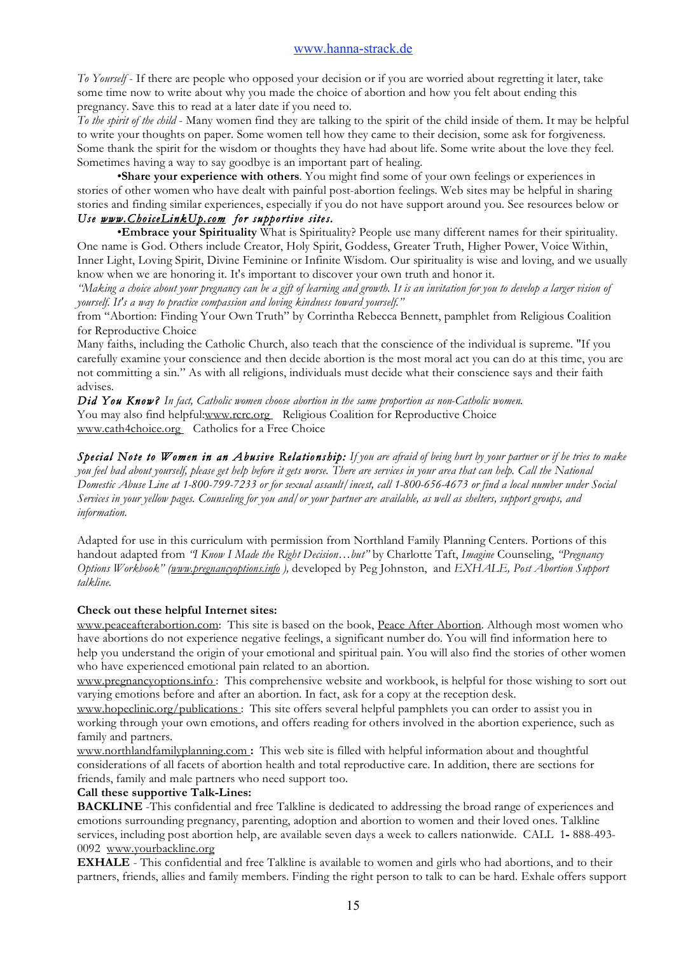*To Yourself* - If there are people who opposed your decision or if you are worried about regretting it later, take some time now to write about why you made the choice of abortion and how you felt about ending this pregnancy. Save this to read at a later date if you need to.

*To the spirit of the child* - Many women find they are talking to the spirit of the child inside of them. It may be helpful to write your thoughts on paper. Some women tell how they came to their decision, some ask for forgiveness. Some thank the spirit for the wisdom or thoughts they have had about life. Some write about the love they feel. Sometimes having a way to say goodbye is an important part of healing.

•**Share your experience with others**. You might find some of your own feelings or experiences in stories of other women who have dealt with painful post-abortion feelings. Web sites may be helpful in sharing stories and finding similar experiences, especially if you do not have support around you. See resources below or *Use www.ChoiceLinkUp.com for supportive sites.* 

•**Embrace your Spirituality** What is Spirituality? People use many different names for their spirituality. One name is God. Others include Creator, Holy Spirit, Goddess, Greater Truth, Higher Power, Voice Within, Inner Light, Loving Spirit, Divine Feminine or Infinite Wisdom. Our spirituality is wise and loving, and we usually know when we are honoring it. It's important to discover your own truth and honor it.

*"Making a choice about your pregnancy can be a gift of learning and growth. It is an invitation for you to develop a larger vision of yourself. It's a way to practice compassion and loving kindness toward yourself."*

from "Abortion: Finding Your Own Truth" by Corrintha Rebecca Bennett, pamphlet from Religious Coalition for Reproductive Choice

Many faiths, including the Catholic Church, also teach that the conscience of the individual is supreme. "If you carefully examine your conscience and then decide abortion is the most moral act you can do at this time, you are not committing a sin." As with all religions, individuals must decide what their conscience says and their faith advises.

*Did You Know? In fact, Catholic women choose abortion in the same proportion as non-Catholic women.* You may also find helpful:www.rcrc.org Religious Coalition for Reproductive Choice www.cath4choice.org Catholics for a Free Choice

*Special Note to Women in an Abusive Relationship: If you are afraid of being hurt by your partner or if he tries to make you feel bad about yourself, please get help before it gets worse. There are services in your area that can help. Call the National Domestic Abuse Line at 1-800-799-7233 or for sexual assault/incest, call 1-800-656-4673 or find a local number under Social Services in your yellow pages. Counseling for you and/or your partner are available, as well as shelters, support groups, and information.*

Adapted for use in this curriculum with permission from Northland Family Planning Centers. Portions of this handout adapted from *"I Know I Made the Right Decision…but"* by Charlotte Taft, *Imagine* Counseling, *"Pregnancy Options Workbook" (www.pregnancyoptions.info ),* developed by Peg Johnston, and *EXHALE, Post Abortion Support talkline.*

## **Check out these helpful Internet sites:**

www.peaceafterabortion.com: This site is based on the book, Peace After Abortion. Although most women who have abortions do not experience negative feelings, a significant number do. You will find information here to help you understand the origin of your emotional and spiritual pain. You will also find the stories of other women who have experienced emotional pain related to an abortion.

www.pregnancyoptions.info : This comprehensive website and workbook, is helpful for those wishing to sort out varying emotions before and after an abortion. In fact, ask for a copy at the reception desk.

www.hopeclinic.org/publications : This site offers several helpful pamphlets you can order to assist you in working through your own emotions, and offers reading for others involved in the abortion experience, such as family and partners.

www.northlandfamilyplanning.com **:** This web site is filled with helpful information about and thoughtful considerations of all facets of abortion health and total reproductive care. In addition, there are sections for friends, family and male partners who need support too.

## **Call these supportive Talk-Lines:**

**BACKLINE** -This confidential and free Talkline is dedicated to addressing the broad range of experiences and emotions surrounding pregnancy, parenting, adoption and abortion to women and their loved ones. Talkline services, including post abortion help, are available seven days a week to callers nationwide. CALL1**-** 888-493- 0092 www.yourbackline.org

**EXHALE** - This confidential and free Talkline is available to women and girls who had abortions, and to their partners, friends, allies and family members. Finding the right person to talk to can be hard. Exhale offers support